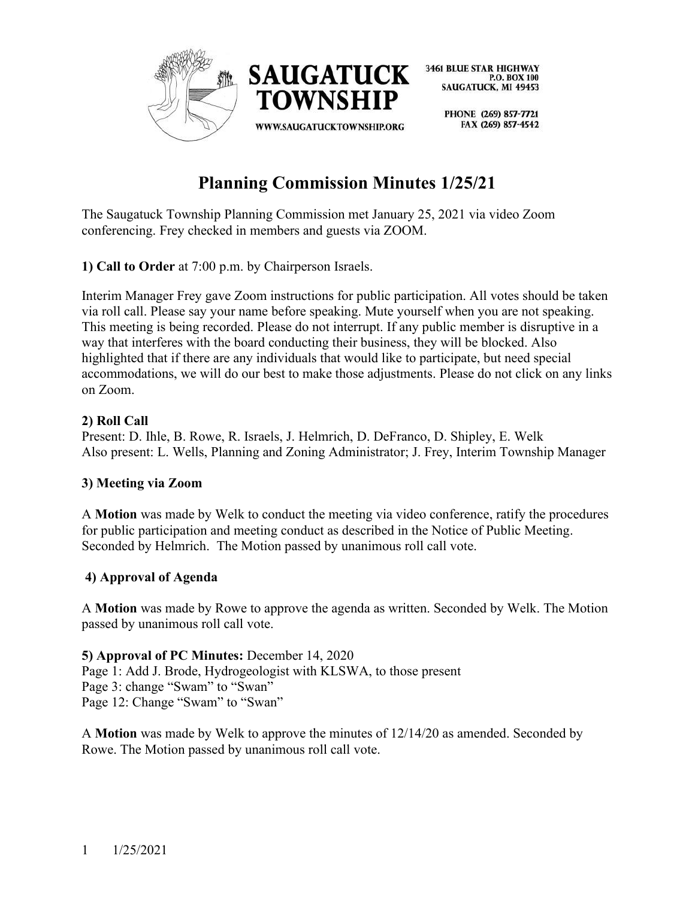

> PHONE (269) 857-7721 FAX (269) 857-4542

# **Planning Commission Minutes 1/25/21**

The Saugatuck Township Planning Commission met January 25, 2021 via video Zoom conferencing. Frey checked in members and guests via ZOOM.

**1) Call to Order** at 7:00 p.m. by Chairperson Israels.

Interim Manager Frey gave Zoom instructions for public participation. All votes should be taken via roll call. Please say your name before speaking. Mute yourself when you are not speaking. This meeting is being recorded. Please do not interrupt. If any public member is disruptive in a way that interferes with the board conducting their business, they will be blocked. Also highlighted that if there are any individuals that would like to participate, but need special accommodations, we will do our best to make those adjustments. Please do not click on any links on Zoom.

# **2) Roll Call**

Present: D. Ihle, B. Rowe, R. Israels, J. Helmrich, D. DeFranco, D. Shipley, E. Welk Also present: L. Wells, Planning and Zoning Administrator; J. Frey, Interim Township Manager

# **3) Meeting via Zoom**

A **Motion** was made by Welk to conduct the meeting via video conference, ratify the procedures for public participation and meeting conduct as described in the Notice of Public Meeting. Seconded by Helmrich. The Motion passed by unanimous roll call vote.

# **4) Approval of Agenda**

A **Motion** was made by Rowe to approve the agenda as written. Seconded by Welk. The Motion passed by unanimous roll call vote.

#### **5) Approval of PC Minutes:** December 14, 2020

Page 1: Add J. Brode, Hydrogeologist with KLSWA, to those present Page 3: change "Swam" to "Swan" Page 12: Change "Swam" to "Swan"

A **Motion** was made by Welk to approve the minutes of 12/14/20 as amended. Seconded by Rowe. The Motion passed by unanimous roll call vote.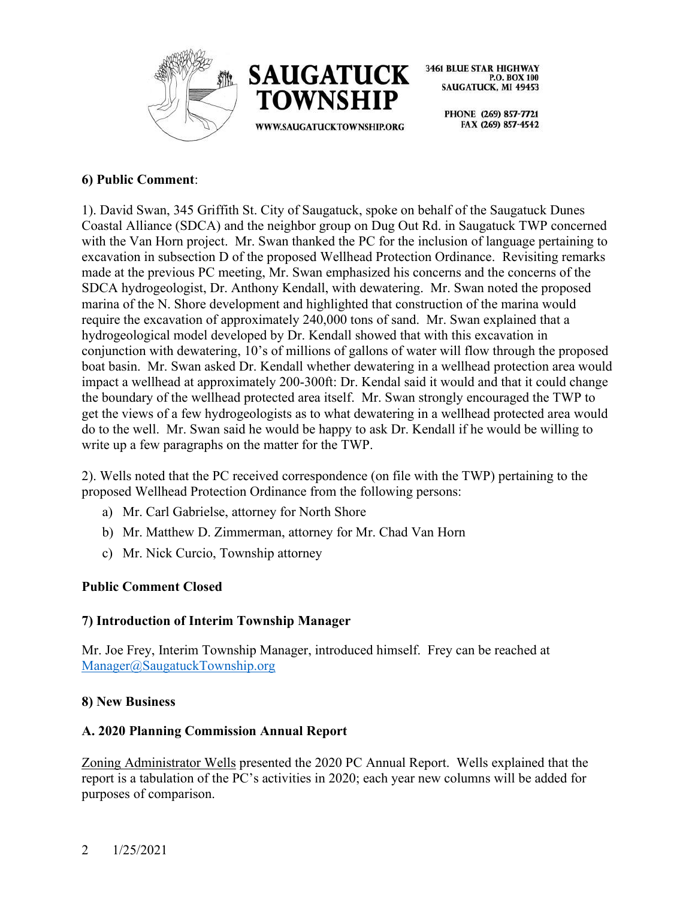



> PHONE (269) 857-7721 FAX (269) 857-4542

# **6) Public Comment**:

1). David Swan, 345 Griffith St. City of Saugatuck, spoke on behalf of the Saugatuck Dunes Coastal Alliance (SDCA) and the neighbor group on Dug Out Rd. in Saugatuck TWP concerned with the Van Horn project. Mr. Swan thanked the PC for the inclusion of language pertaining to excavation in subsection D of the proposed Wellhead Protection Ordinance. Revisiting remarks made at the previous PC meeting, Mr. Swan emphasized his concerns and the concerns of the SDCA hydrogeologist, Dr. Anthony Kendall, with dewatering. Mr. Swan noted the proposed marina of the N. Shore development and highlighted that construction of the marina would require the excavation of approximately 240,000 tons of sand. Mr. Swan explained that a hydrogeological model developed by Dr. Kendall showed that with this excavation in conjunction with dewatering, 10's of millions of gallons of water will flow through the proposed boat basin. Mr. Swan asked Dr. Kendall whether dewatering in a wellhead protection area would impact a wellhead at approximately 200-300ft: Dr. Kendal said it would and that it could change the boundary of the wellhead protected area itself. Mr. Swan strongly encouraged the TWP to get the views of a few hydrogeologists as to what dewatering in a wellhead protected area would do to the well. Mr. Swan said he would be happy to ask Dr. Kendall if he would be willing to write up a few paragraphs on the matter for the TWP.

2). Wells noted that the PC received correspondence (on file with the TWP) pertaining to the proposed Wellhead Protection Ordinance from the following persons:

- a) Mr. Carl Gabrielse, attorney for North Shore
- b) Mr. Matthew D. Zimmerman, attorney for Mr. Chad Van Horn
- c) Mr. Nick Curcio, Township attorney

#### **Public Comment Closed**

#### **7) Introduction of Interim Township Manager**

Mr. Joe Frey, Interim Township Manager, introduced himself. Frey can be reached at [Manager@SaugatuckTownship.org](mailto:Manager@SaugatuckTownship.org)

#### **8) New Business**

#### **A. 2020 Planning Commission Annual Report**

Zoning Administrator Wells presented the 2020 PC Annual Report. Wells explained that the report is a tabulation of the PC's activities in 2020; each year new columns will be added for purposes of comparison.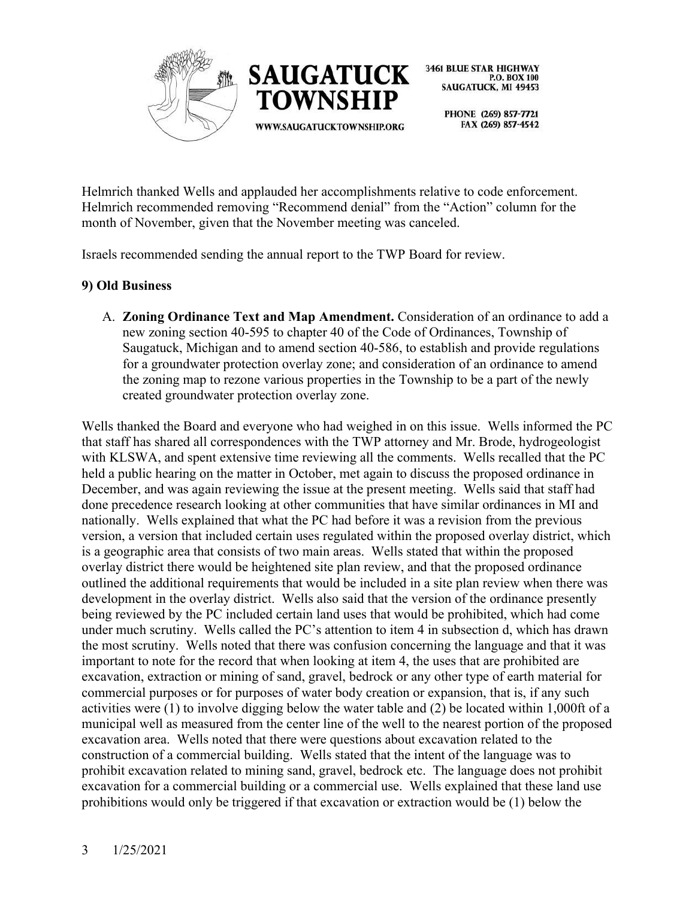



> PHONE (269) 857-7721 FAX (269) 857-4542

Helmrich thanked Wells and applauded her accomplishments relative to code enforcement. Helmrich recommended removing "Recommend denial" from the "Action" column for the month of November, given that the November meeting was canceled.

Israels recommended sending the annual report to the TWP Board for review.

# **9) Old Business**

A. **Zoning Ordinance Text and Map Amendment.** Consideration of an ordinance to add a new zoning section 40-595 to chapter 40 of the Code of Ordinances, Township of Saugatuck, Michigan and to amend section 40-586, to establish and provide regulations for a groundwater protection overlay zone; and consideration of an ordinance to amend the zoning map to rezone various properties in the Township to be a part of the newly created groundwater protection overlay zone.

Wells thanked the Board and everyone who had weighed in on this issue. Wells informed the PC that staff has shared all correspondences with the TWP attorney and Mr. Brode, hydrogeologist with KLSWA, and spent extensive time reviewing all the comments. Wells recalled that the PC held a public hearing on the matter in October, met again to discuss the proposed ordinance in December, and was again reviewing the issue at the present meeting. Wells said that staff had done precedence research looking at other communities that have similar ordinances in MI and nationally. Wells explained that what the PC had before it was a revision from the previous version, a version that included certain uses regulated within the proposed overlay district, which is a geographic area that consists of two main areas. Wells stated that within the proposed overlay district there would be heightened site plan review, and that the proposed ordinance outlined the additional requirements that would be included in a site plan review when there was development in the overlay district. Wells also said that the version of the ordinance presently being reviewed by the PC included certain land uses that would be prohibited, which had come under much scrutiny. Wells called the PC's attention to item 4 in subsection d, which has drawn the most scrutiny. Wells noted that there was confusion concerning the language and that it was important to note for the record that when looking at item 4, the uses that are prohibited are excavation, extraction or mining of sand, gravel, bedrock or any other type of earth material for commercial purposes or for purposes of water body creation or expansion, that is, if any such activities were (1) to involve digging below the water table and (2) be located within 1,000ft of a municipal well as measured from the center line of the well to the nearest portion of the proposed excavation area. Wells noted that there were questions about excavation related to the construction of a commercial building. Wells stated that the intent of the language was to prohibit excavation related to mining sand, gravel, bedrock etc. The language does not prohibit excavation for a commercial building or a commercial use. Wells explained that these land use prohibitions would only be triggered if that excavation or extraction would be (1) below the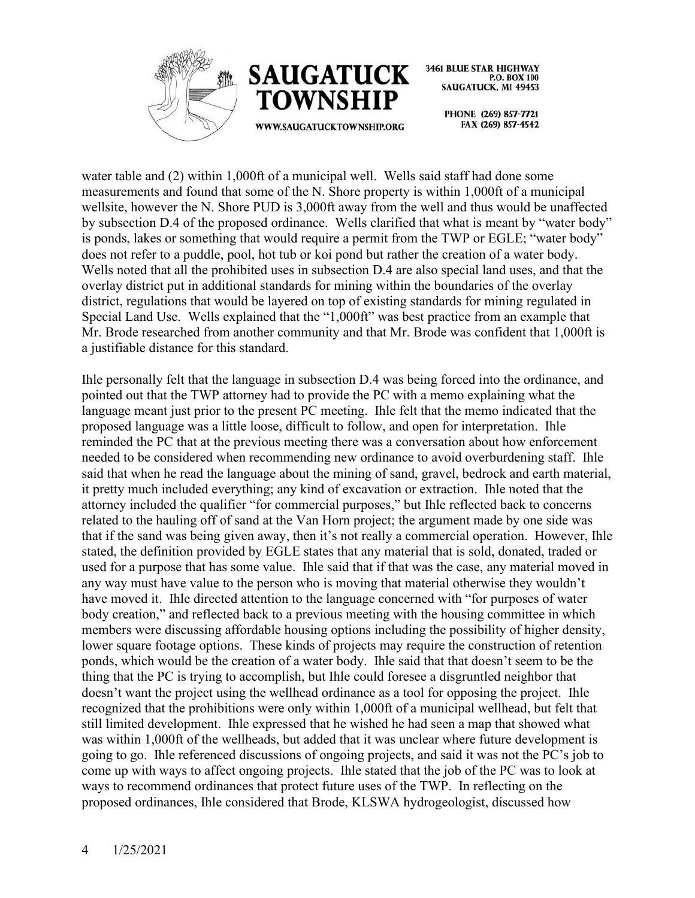



> PHONE (269) 857-7721 FAX (269) 857-4542

water table and (2) within 1,000ft of a municipal well. Wells said staff had done some measurements and found that some of the N. Shore property is within 1,000ft of a municipal wellsite, however the N. Shore PUD is 3,000ft away from the well and thus would be unaffected by subsection D.4 of the proposed ordinance. Wells clarified that what is meant by "water body" is ponds, lakes or something that would require a permit from the TWP or EGLE; "water body" does not refer to a puddle, pool, hot tub or koi pond but rather the creation of a water body. Wells noted that all the prohibited uses in subsection D.4 are also special land uses, and that the overlay district put in additional standards for mining within the boundaries of the overlay district, regulations that would be layered on top of existing standards for mining regulated in Special Land Use. Wells explained that the "1,000ft" was best practice from an example that Mr. Brode researched from another community and that Mr. Brode was confident that 1,000ft is a justifiable distance for this standard.

Ihle personally felt that the language in subsection D.4 was being forced into the ordinance, and pointed out that the TWP attorney had to provide the PC with a memo explaining what the language meant just prior to the present PC meeting. Ihle felt that the memo indicated that the proposed language was a little loose, difficult to follow, and open for interpretation. Ihle reminded the PC that at the previous meeting there was a conversation about how enforcement needed to be considered when recommending new ordinance to avoid overburdening staff. Ihle said that when he read the language about the mining of sand, gravel, bedrock and earth material, it pretty much included everything; any kind of excavation or extraction. Ihle noted that the attorney included the qualifier "for commercial purposes," but Ihle reflected back to concerns related to the hauling off of sand at the Van Horn project; the argument made by one side was that if the sand was being given away, then it's not really a commercial operation. However, Ihle stated, the definition provided by EGLE states that any material that is sold, donated, traded or used for a purpose that has some value. Ihle said that if that was the case, any material moved in any way must have value to the person who is moving that material otherwise they wouldn't have moved it. Ihle directed attention to the language concerned with "for purposes of water body creation," and reflected back to a previous meeting with the housing committee in which members were discussing affordable housing options including the possibility of higher density, lower square footage options. These kinds of projects may require the construction of retention ponds, which would be the creation of a water body. Ihle said that that doesn't seem to be the thing that the PC is trying to accomplish, but Ihle could foresee a disgruntled neighbor that doesn't want the project using the wellhead ordinance as a tool for opposing the project. Ihle recognized that the prohibitions were only within 1,000ft of a municipal wellhead, but felt that still limited development. Ihle expressed that he wished he had seen a map that showed what was within 1,000ft of the wellheads, but added that it was unclear where future development is going to go. Ihle referenced discussions of ongoing projects, and said it was not the PC's job to come up with ways to affect ongoing projects. Ihle stated that the job of the PC was to look at ways to recommend ordinances that protect future uses of the TWP. In reflecting on the proposed ordinances, Ihle considered that Brode, KLSWA hydrogeologist, discussed how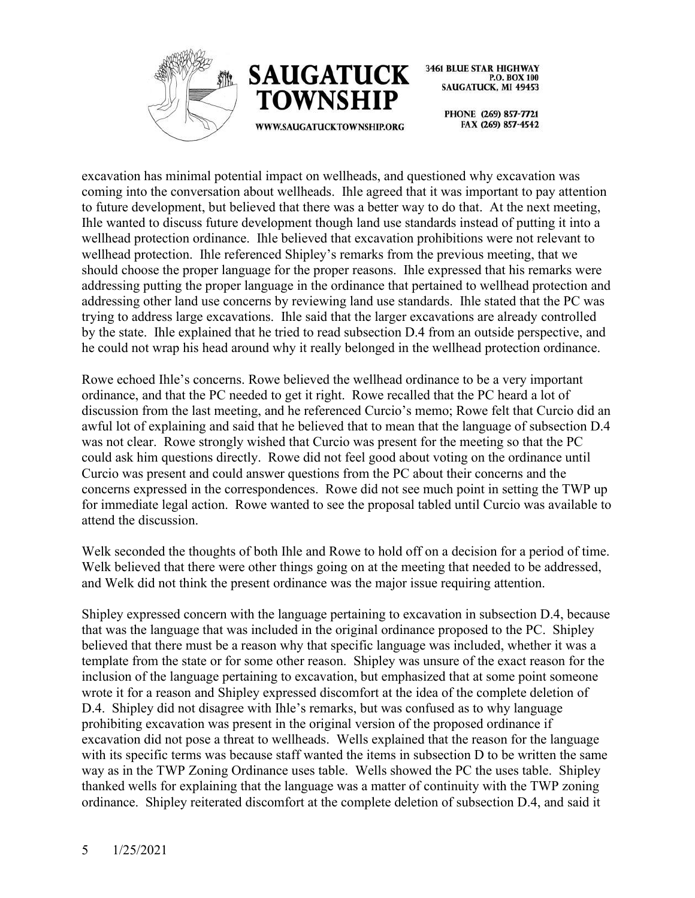



WWW.SAUGATUCKTOWNSHIP.ORG

**3461 BLUE STAR HIGHWAY** P.O. BOX 100 **SAUGATUCK, MI 49453** 

> PHONE (269) 857-7721 FAX (269) 857-4542

excavation has minimal potential impact on wellheads, and questioned why excavation was coming into the conversation about wellheads. Ihle agreed that it was important to pay attention to future development, but believed that there was a better way to do that. At the next meeting, Ihle wanted to discuss future development though land use standards instead of putting it into a wellhead protection ordinance. Ihle believed that excavation prohibitions were not relevant to wellhead protection. Ihle referenced Shipley's remarks from the previous meeting, that we should choose the proper language for the proper reasons. Ihle expressed that his remarks were addressing putting the proper language in the ordinance that pertained to wellhead protection and addressing other land use concerns by reviewing land use standards. Ihle stated that the PC was trying to address large excavations. Ihle said that the larger excavations are already controlled by the state. Ihle explained that he tried to read subsection D.4 from an outside perspective, and he could not wrap his head around why it really belonged in the wellhead protection ordinance.

Rowe echoed Ihle's concerns. Rowe believed the wellhead ordinance to be a very important ordinance, and that the PC needed to get it right. Rowe recalled that the PC heard a lot of discussion from the last meeting, and he referenced Curcio's memo; Rowe felt that Curcio did an awful lot of explaining and said that he believed that to mean that the language of subsection D.4 was not clear. Rowe strongly wished that Curcio was present for the meeting so that the PC could ask him questions directly. Rowe did not feel good about voting on the ordinance until Curcio was present and could answer questions from the PC about their concerns and the concerns expressed in the correspondences. Rowe did not see much point in setting the TWP up for immediate legal action. Rowe wanted to see the proposal tabled until Curcio was available to attend the discussion.

Welk seconded the thoughts of both Ihle and Rowe to hold off on a decision for a period of time. Welk believed that there were other things going on at the meeting that needed to be addressed, and Welk did not think the present ordinance was the major issue requiring attention.

Shipley expressed concern with the language pertaining to excavation in subsection D.4, because that was the language that was included in the original ordinance proposed to the PC. Shipley believed that there must be a reason why that specific language was included, whether it was a template from the state or for some other reason. Shipley was unsure of the exact reason for the inclusion of the language pertaining to excavation, but emphasized that at some point someone wrote it for a reason and Shipley expressed discomfort at the idea of the complete deletion of D.4. Shipley did not disagree with Ihle's remarks, but was confused as to why language prohibiting excavation was present in the original version of the proposed ordinance if excavation did not pose a threat to wellheads. Wells explained that the reason for the language with its specific terms was because staff wanted the items in subsection D to be written the same way as in the TWP Zoning Ordinance uses table. Wells showed the PC the uses table. Shipley thanked wells for explaining that the language was a matter of continuity with the TWP zoning ordinance. Shipley reiterated discomfort at the complete deletion of subsection D.4, and said it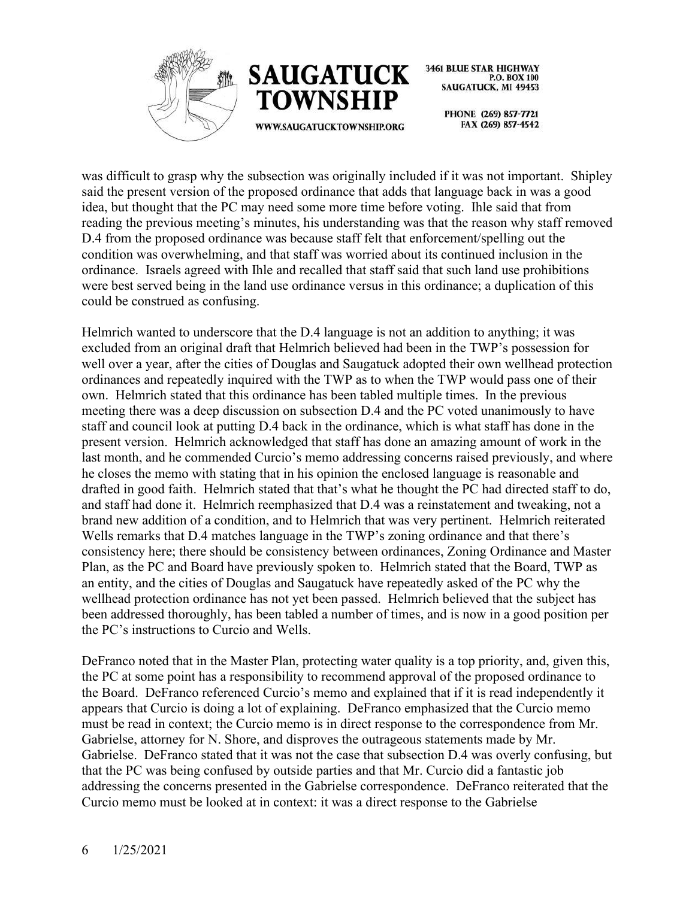



> PHONE (269) 857-7721 FAX (269) 857-4542

was difficult to grasp why the subsection was originally included if it was not important. Shipley said the present version of the proposed ordinance that adds that language back in was a good idea, but thought that the PC may need some more time before voting. Ihle said that from reading the previous meeting's minutes, his understanding was that the reason why staff removed D.4 from the proposed ordinance was because staff felt that enforcement/spelling out the condition was overwhelming, and that staff was worried about its continued inclusion in the ordinance. Israels agreed with Ihle and recalled that staff said that such land use prohibitions were best served being in the land use ordinance versus in this ordinance; a duplication of this could be construed as confusing.

Helmrich wanted to underscore that the D.4 language is not an addition to anything; it was excluded from an original draft that Helmrich believed had been in the TWP's possession for well over a year, after the cities of Douglas and Saugatuck adopted their own wellhead protection ordinances and repeatedly inquired with the TWP as to when the TWP would pass one of their own. Helmrich stated that this ordinance has been tabled multiple times. In the previous meeting there was a deep discussion on subsection D.4 and the PC voted unanimously to have staff and council look at putting D.4 back in the ordinance, which is what staff has done in the present version. Helmrich acknowledged that staff has done an amazing amount of work in the last month, and he commended Curcio's memo addressing concerns raised previously, and where he closes the memo with stating that in his opinion the enclosed language is reasonable and drafted in good faith. Helmrich stated that that's what he thought the PC had directed staff to do, and staff had done it. Helmrich reemphasized that D.4 was a reinstatement and tweaking, not a brand new addition of a condition, and to Helmrich that was very pertinent. Helmrich reiterated Wells remarks that D.4 matches language in the TWP's zoning ordinance and that there's consistency here; there should be consistency between ordinances, Zoning Ordinance and Master Plan, as the PC and Board have previously spoken to. Helmrich stated that the Board, TWP as an entity, and the cities of Douglas and Saugatuck have repeatedly asked of the PC why the wellhead protection ordinance has not yet been passed. Helmrich believed that the subject has been addressed thoroughly, has been tabled a number of times, and is now in a good position per the PC's instructions to Curcio and Wells.

DeFranco noted that in the Master Plan, protecting water quality is a top priority, and, given this, the PC at some point has a responsibility to recommend approval of the proposed ordinance to the Board. DeFranco referenced Curcio's memo and explained that if it is read independently it appears that Curcio is doing a lot of explaining. DeFranco emphasized that the Curcio memo must be read in context; the Curcio memo is in direct response to the correspondence from Mr. Gabrielse, attorney for N. Shore, and disproves the outrageous statements made by Mr. Gabrielse. DeFranco stated that it was not the case that subsection D.4 was overly confusing, but that the PC was being confused by outside parties and that Mr. Curcio did a fantastic job addressing the concerns presented in the Gabrielse correspondence. DeFranco reiterated that the Curcio memo must be looked at in context: it was a direct response to the Gabrielse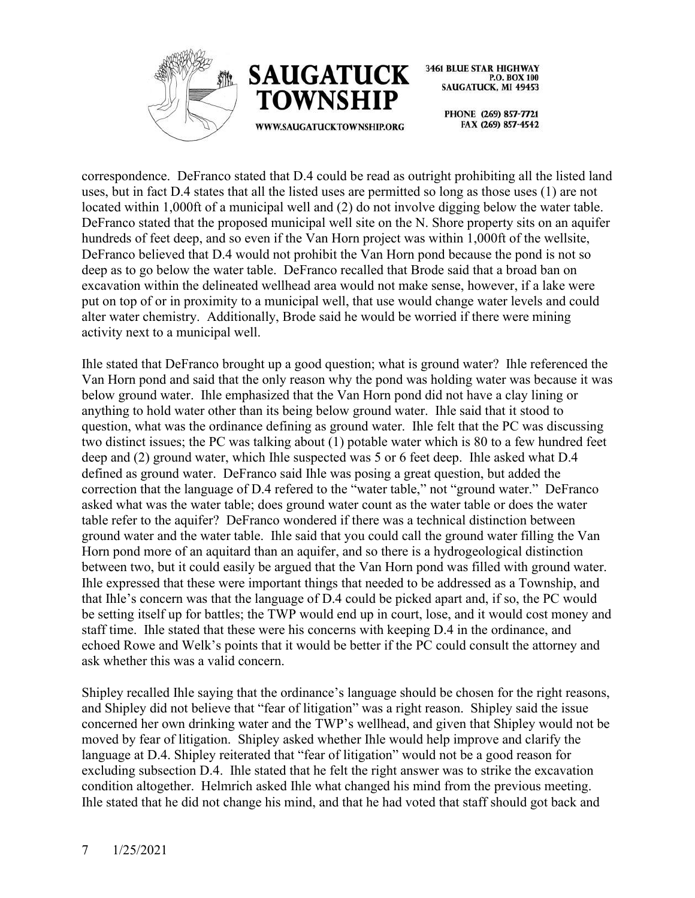



> PHONE (269) 857-7721 FAX (269) 857-4542

correspondence. DeFranco stated that D.4 could be read as outright prohibiting all the listed land uses, but in fact D.4 states that all the listed uses are permitted so long as those uses (1) are not located within 1,000ft of a municipal well and (2) do not involve digging below the water table. DeFranco stated that the proposed municipal well site on the N. Shore property sits on an aquifer hundreds of feet deep, and so even if the Van Horn project was within 1,000ft of the wellsite, DeFranco believed that D.4 would not prohibit the Van Horn pond because the pond is not so deep as to go below the water table. DeFranco recalled that Brode said that a broad ban on excavation within the delineated wellhead area would not make sense, however, if a lake were put on top of or in proximity to a municipal well, that use would change water levels and could alter water chemistry. Additionally, Brode said he would be worried if there were mining activity next to a municipal well.

Ihle stated that DeFranco brought up a good question; what is ground water? Ihle referenced the Van Horn pond and said that the only reason why the pond was holding water was because it was below ground water. Ihle emphasized that the Van Horn pond did not have a clay lining or anything to hold water other than its being below ground water. Ihle said that it stood to question, what was the ordinance defining as ground water. Ihle felt that the PC was discussing two distinct issues; the PC was talking about (1) potable water which is 80 to a few hundred feet deep and (2) ground water, which Ihle suspected was 5 or 6 feet deep. Ihle asked what D.4 defined as ground water. DeFranco said Ihle was posing a great question, but added the correction that the language of D.4 refered to the "water table," not "ground water." DeFranco asked what was the water table; does ground water count as the water table or does the water table refer to the aquifer? DeFranco wondered if there was a technical distinction between ground water and the water table. Ihle said that you could call the ground water filling the Van Horn pond more of an aquitard than an aquifer, and so there is a hydrogeological distinction between two, but it could easily be argued that the Van Horn pond was filled with ground water. Ihle expressed that these were important things that needed to be addressed as a Township, and that Ihle's concern was that the language of D.4 could be picked apart and, if so, the PC would be setting itself up for battles; the TWP would end up in court, lose, and it would cost money and staff time. Ihle stated that these were his concerns with keeping D.4 in the ordinance, and echoed Rowe and Welk's points that it would be better if the PC could consult the attorney and ask whether this was a valid concern.

Shipley recalled Ihle saying that the ordinance's language should be chosen for the right reasons, and Shipley did not believe that "fear of litigation" was a right reason. Shipley said the issue concerned her own drinking water and the TWP's wellhead, and given that Shipley would not be moved by fear of litigation. Shipley asked whether Ihle would help improve and clarify the language at D.4. Shipley reiterated that "fear of litigation" would not be a good reason for excluding subsection D.4. Ihle stated that he felt the right answer was to strike the excavation condition altogether. Helmrich asked Ihle what changed his mind from the previous meeting. Ihle stated that he did not change his mind, and that he had voted that staff should got back and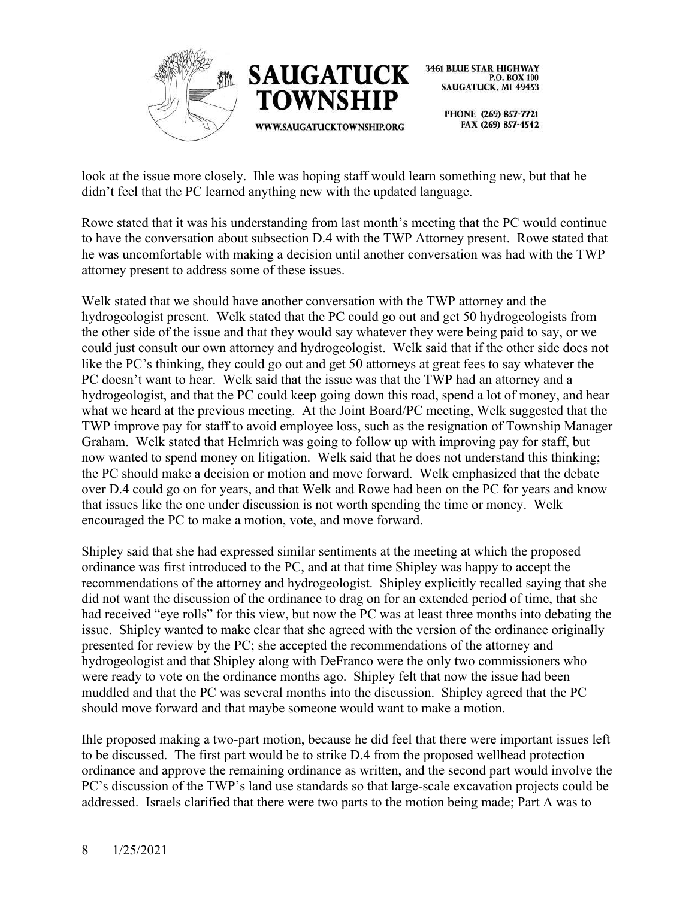



> PHONE (269) 857-7721 FAX (269) 857-4542

look at the issue more closely. Ihle was hoping staff would learn something new, but that he didn't feel that the PC learned anything new with the updated language.

Rowe stated that it was his understanding from last month's meeting that the PC would continue to have the conversation about subsection D.4 with the TWP Attorney present. Rowe stated that he was uncomfortable with making a decision until another conversation was had with the TWP attorney present to address some of these issues.

Welk stated that we should have another conversation with the TWP attorney and the hydrogeologist present. Welk stated that the PC could go out and get 50 hydrogeologists from the other side of the issue and that they would say whatever they were being paid to say, or we could just consult our own attorney and hydrogeologist. Welk said that if the other side does not like the PC's thinking, they could go out and get 50 attorneys at great fees to say whatever the PC doesn't want to hear. Welk said that the issue was that the TWP had an attorney and a hydrogeologist, and that the PC could keep going down this road, spend a lot of money, and hear what we heard at the previous meeting. At the Joint Board/PC meeting, Welk suggested that the TWP improve pay for staff to avoid employee loss, such as the resignation of Township Manager Graham. Welk stated that Helmrich was going to follow up with improving pay for staff, but now wanted to spend money on litigation. Welk said that he does not understand this thinking; the PC should make a decision or motion and move forward. Welk emphasized that the debate over D.4 could go on for years, and that Welk and Rowe had been on the PC for years and know that issues like the one under discussion is not worth spending the time or money. Welk encouraged the PC to make a motion, vote, and move forward.

Shipley said that she had expressed similar sentiments at the meeting at which the proposed ordinance was first introduced to the PC, and at that time Shipley was happy to accept the recommendations of the attorney and hydrogeologist. Shipley explicitly recalled saying that she did not want the discussion of the ordinance to drag on for an extended period of time, that she had received "eye rolls" for this view, but now the PC was at least three months into debating the issue. Shipley wanted to make clear that she agreed with the version of the ordinance originally presented for review by the PC; she accepted the recommendations of the attorney and hydrogeologist and that Shipley along with DeFranco were the only two commissioners who were ready to vote on the ordinance months ago. Shipley felt that now the issue had been muddled and that the PC was several months into the discussion. Shipley agreed that the PC should move forward and that maybe someone would want to make a motion.

Ihle proposed making a two-part motion, because he did feel that there were important issues left to be discussed. The first part would be to strike D.4 from the proposed wellhead protection ordinance and approve the remaining ordinance as written, and the second part would involve the PC's discussion of the TWP's land use standards so that large-scale excavation projects could be addressed. Israels clarified that there were two parts to the motion being made; Part A was to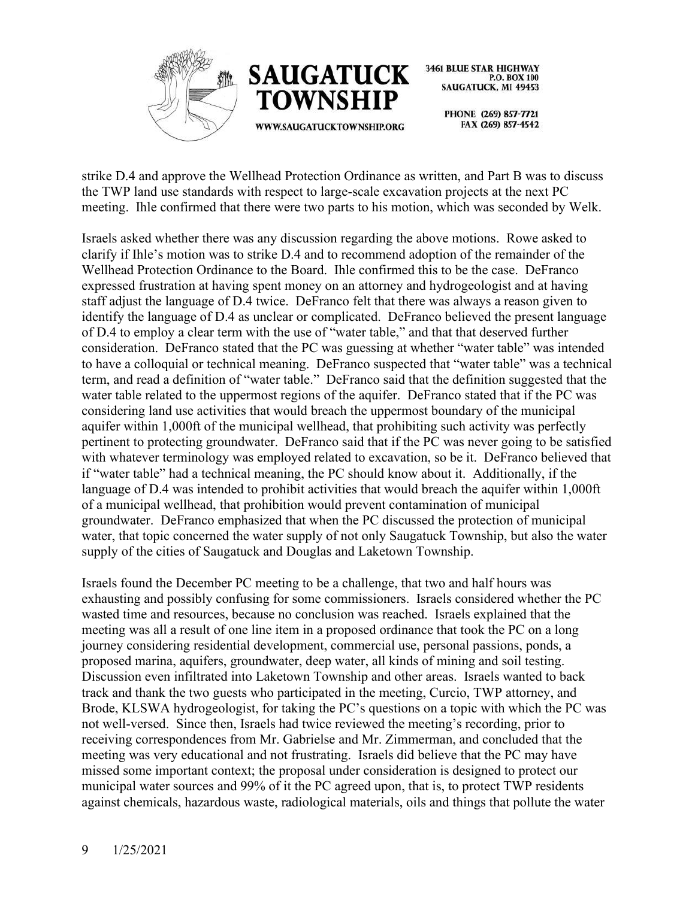



PHONE (269) 857-7721 FAX (269) 857-4542

strike D.4 and approve the Wellhead Protection Ordinance as written, and Part B was to discuss the TWP land use standards with respect to large-scale excavation projects at the next PC meeting. Ihle confirmed that there were two parts to his motion, which was seconded by Welk.

Israels asked whether there was any discussion regarding the above motions. Rowe asked to clarify if Ihle's motion was to strike D.4 and to recommend adoption of the remainder of the Wellhead Protection Ordinance to the Board. Ihle confirmed this to be the case. DeFranco expressed frustration at having spent money on an attorney and hydrogeologist and at having staff adjust the language of D.4 twice. DeFranco felt that there was always a reason given to identify the language of D.4 as unclear or complicated. DeFranco believed the present language of D.4 to employ a clear term with the use of "water table," and that that deserved further consideration. DeFranco stated that the PC was guessing at whether "water table" was intended to have a colloquial or technical meaning. DeFranco suspected that "water table" was a technical term, and read a definition of "water table." DeFranco said that the definition suggested that the water table related to the uppermost regions of the aquifer. DeFranco stated that if the PC was considering land use activities that would breach the uppermost boundary of the municipal aquifer within 1,000ft of the municipal wellhead, that prohibiting such activity was perfectly pertinent to protecting groundwater. DeFranco said that if the PC was never going to be satisfied with whatever terminology was employed related to excavation, so be it. DeFranco believed that if "water table" had a technical meaning, the PC should know about it. Additionally, if the language of D.4 was intended to prohibit activities that would breach the aquifer within 1,000ft of a municipal wellhead, that prohibition would prevent contamination of municipal groundwater. DeFranco emphasized that when the PC discussed the protection of municipal water, that topic concerned the water supply of not only Saugatuck Township, but also the water supply of the cities of Saugatuck and Douglas and Laketown Township.

Israels found the December PC meeting to be a challenge, that two and half hours was exhausting and possibly confusing for some commissioners. Israels considered whether the PC wasted time and resources, because no conclusion was reached. Israels explained that the meeting was all a result of one line item in a proposed ordinance that took the PC on a long journey considering residential development, commercial use, personal passions, ponds, a proposed marina, aquifers, groundwater, deep water, all kinds of mining and soil testing. Discussion even infiltrated into Laketown Township and other areas. Israels wanted to back track and thank the two guests who participated in the meeting, Curcio, TWP attorney, and Brode, KLSWA hydrogeologist, for taking the PC's questions on a topic with which the PC was not well-versed. Since then, Israels had twice reviewed the meeting's recording, prior to receiving correspondences from Mr. Gabrielse and Mr. Zimmerman, and concluded that the meeting was very educational and not frustrating. Israels did believe that the PC may have missed some important context; the proposal under consideration is designed to protect our municipal water sources and 99% of it the PC agreed upon, that is, to protect TWP residents against chemicals, hazardous waste, radiological materials, oils and things that pollute the water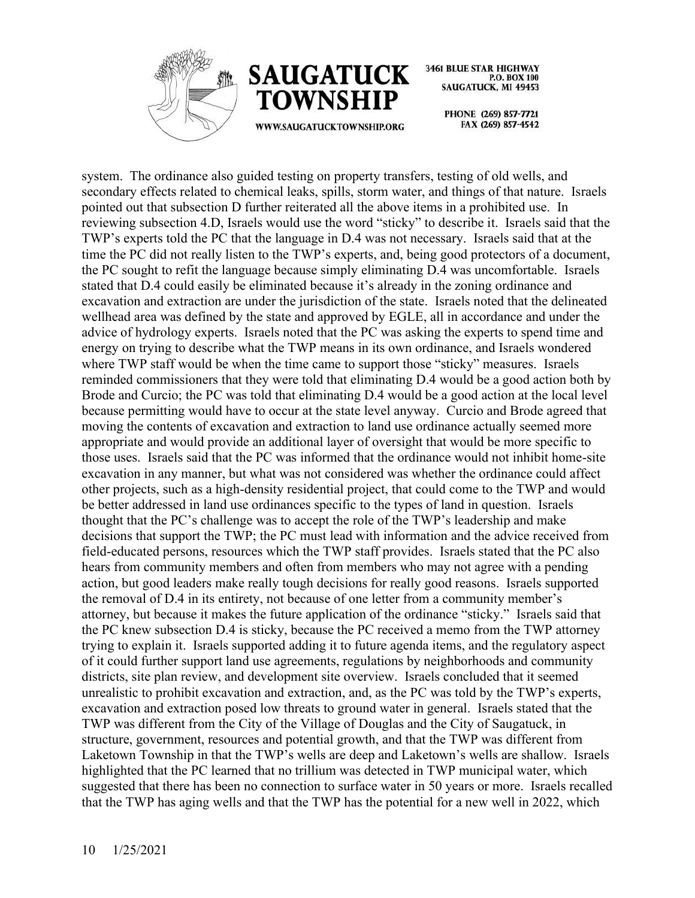



WWW.SAUGATUCKTOWNSHIP.ORG

**3461 BLUE STAR HIGHWAY** P.O. BOX 100 **SAUGATUCK, MI 49453** 

> PHONE (269) 857-7721 FAX (269) 857-4542

system. The ordinance also guided testing on property transfers, testing of old wells, and secondary effects related to chemical leaks, spills, storm water, and things of that nature. Israels pointed out that subsection D further reiterated all the above items in a prohibited use. In reviewing subsection 4.D, Israels would use the word "sticky" to describe it. Israels said that the TWP's experts told the PC that the language in D.4 was not necessary. Israels said that at the time the PC did not really listen to the TWP's experts, and, being good protectors of a document, the PC sought to refit the language because simply eliminating D.4 was uncomfortable. Israels stated that D.4 could easily be eliminated because it's already in the zoning ordinance and excavation and extraction are under the jurisdiction of the state. Israels noted that the delineated wellhead area was defined by the state and approved by EGLE, all in accordance and under the advice of hydrology experts. Israels noted that the PC was asking the experts to spend time and energy on trying to describe what the TWP means in its own ordinance, and Israels wondered where TWP staff would be when the time came to support those "sticky" measures. Israels reminded commissioners that they were told that eliminating D.4 would be a good action both by Brode and Curcio; the PC was told that eliminating D.4 would be a good action at the local level because permitting would have to occur at the state level anyway. Curcio and Brode agreed that moving the contents of excavation and extraction to land use ordinance actually seemed more appropriate and would provide an additional layer of oversight that would be more specific to those uses. Israels said that the PC was informed that the ordinance would not inhibit home-site excavation in any manner, but what was not considered was whether the ordinance could affect other projects, such as a high-density residential project, that could come to the TWP and would be better addressed in land use ordinances specific to the types of land in question. Israels thought that the PC's challenge was to accept the role of the TWP's leadership and make decisions that support the TWP; the PC must lead with information and the advice received from field-educated persons, resources which the TWP staff provides. Israels stated that the PC also hears from community members and often from members who may not agree with a pending action, but good leaders make really tough decisions for really good reasons. Israels supported the removal of D.4 in its entirety, not because of one letter from a community member's attorney, but because it makes the future application of the ordinance "sticky." Israels said that the PC knew subsection D.4 is sticky, because the PC received a memo from the TWP attorney trying to explain it. Israels supported adding it to future agenda items, and the regulatory aspect of it could further support land use agreements, regulations by neighborhoods and community districts, site plan review, and development site overview. Israels concluded that it seemed unrealistic to prohibit excavation and extraction, and, as the PC was told by the TWP's experts, excavation and extraction posed low threats to ground water in general. Israels stated that the TWP was different from the City of the Village of Douglas and the City of Saugatuck, in structure, government, resources and potential growth, and that the TWP was different from Laketown Township in that the TWP's wells are deep and Laketown's wells are shallow. Israels highlighted that the PC learned that no trillium was detected in TWP municipal water, which suggested that there has been no connection to surface water in 50 years or more. Israels recalled that the TWP has aging wells and that the TWP has the potential for a new well in 2022, which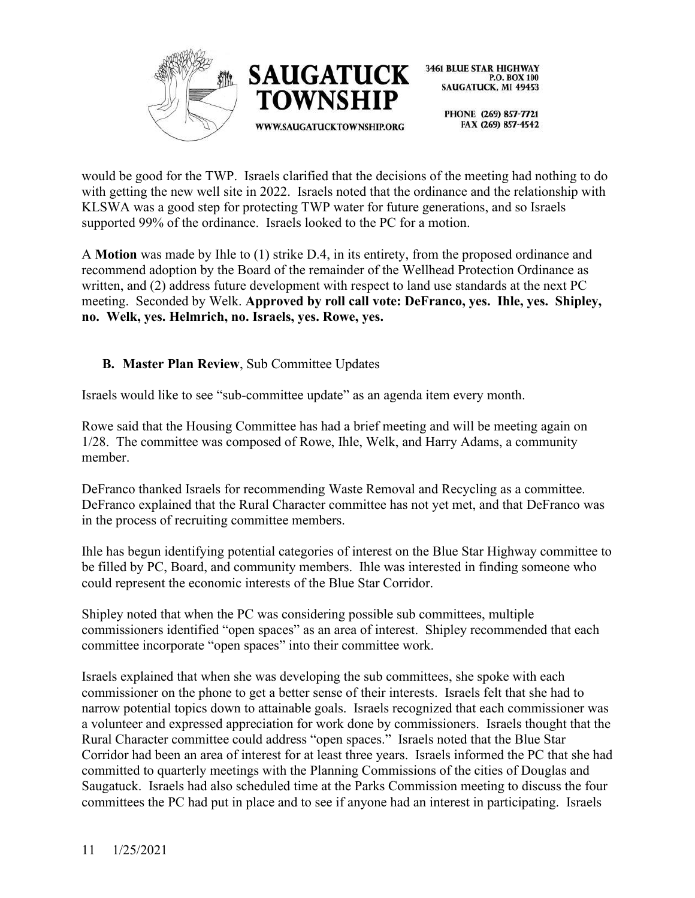



PHONE (269) 857-7721 FAX (269) 857-4542

would be good for the TWP. Israels clarified that the decisions of the meeting had nothing to do with getting the new well site in 2022. Israels noted that the ordinance and the relationship with KLSWA was a good step for protecting TWP water for future generations, and so Israels supported 99% of the ordinance. Israels looked to the PC for a motion.

A **Motion** was made by Ihle to (1) strike D.4, in its entirety, from the proposed ordinance and recommend adoption by the Board of the remainder of the Wellhead Protection Ordinance as written, and (2) address future development with respect to land use standards at the next PC meeting. Seconded by Welk. **Approved by roll call vote: DeFranco, yes. Ihle, yes. Shipley, no. Welk, yes. Helmrich, no. Israels, yes. Rowe, yes.** 

# **B. Master Plan Review**, Sub Committee Updates

Israels would like to see "sub-committee update" as an agenda item every month.

Rowe said that the Housing Committee has had a brief meeting and will be meeting again on 1/28. The committee was composed of Rowe, Ihle, Welk, and Harry Adams, a community member.

DeFranco thanked Israels for recommending Waste Removal and Recycling as a committee. DeFranco explained that the Rural Character committee has not yet met, and that DeFranco was in the process of recruiting committee members.

Ihle has begun identifying potential categories of interest on the Blue Star Highway committee to be filled by PC, Board, and community members. Ihle was interested in finding someone who could represent the economic interests of the Blue Star Corridor.

Shipley noted that when the PC was considering possible sub committees, multiple commissioners identified "open spaces" as an area of interest. Shipley recommended that each committee incorporate "open spaces" into their committee work.

Israels explained that when she was developing the sub committees, she spoke with each commissioner on the phone to get a better sense of their interests. Israels felt that she had to narrow potential topics down to attainable goals. Israels recognized that each commissioner was a volunteer and expressed appreciation for work done by commissioners. Israels thought that the Rural Character committee could address "open spaces." Israels noted that the Blue Star Corridor had been an area of interest for at least three years. Israels informed the PC that she had committed to quarterly meetings with the Planning Commissions of the cities of Douglas and Saugatuck. Israels had also scheduled time at the Parks Commission meeting to discuss the four committees the PC had put in place and to see if anyone had an interest in participating. Israels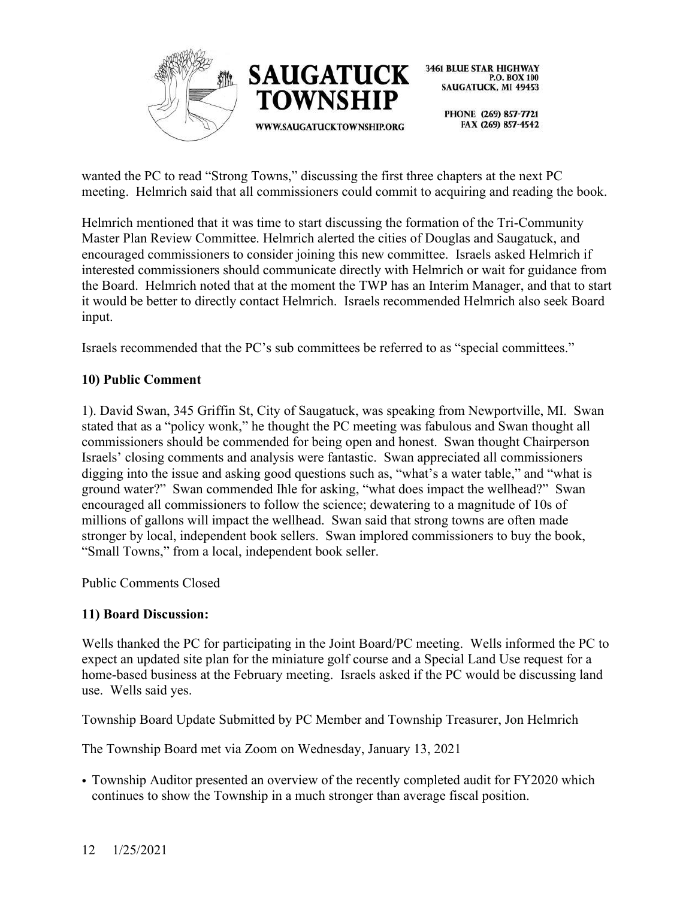

wanted the PC to read "Strong Towns," discussing the first three chapters at the next PC meeting. Helmrich said that all commissioners could commit to acquiring and reading the book.

Helmrich mentioned that it was time to start discussing the formation of the Tri-Community Master Plan Review Committee. Helmrich alerted the cities of Douglas and Saugatuck, and encouraged commissioners to consider joining this new committee. Israels asked Helmrich if interested commissioners should communicate directly with Helmrich or wait for guidance from the Board. Helmrich noted that at the moment the TWP has an Interim Manager, and that to start it would be better to directly contact Helmrich. Israels recommended Helmrich also seek Board input.

Israels recommended that the PC's sub committees be referred to as "special committees."

# **10) Public Comment**

1). David Swan, 345 Griffin St, City of Saugatuck, was speaking from Newportville, MI. Swan stated that as a "policy wonk," he thought the PC meeting was fabulous and Swan thought all commissioners should be commended for being open and honest. Swan thought Chairperson Israels' closing comments and analysis were fantastic. Swan appreciated all commissioners digging into the issue and asking good questions such as, "what's a water table," and "what is ground water?" Swan commended Ihle for asking, "what does impact the wellhead?" Swan encouraged all commissioners to follow the science; dewatering to a magnitude of 10s of millions of gallons will impact the wellhead. Swan said that strong towns are often made stronger by local, independent book sellers. Swan implored commissioners to buy the book, "Small Towns," from a local, independent book seller.

Public Comments Closed

#### **11) Board Discussion:**

Wells thanked the PC for participating in the Joint Board/PC meeting. Wells informed the PC to expect an updated site plan for the miniature golf course and a Special Land Use request for a home-based business at the February meeting. Israels asked if the PC would be discussing land use. Wells said yes.

Township Board Update Submitted by PC Member and Township Treasurer, Jon Helmrich

The Township Board met via Zoom on Wednesday, January 13, 2021

• Township Auditor presented an overview of the recently completed audit for FY2020 which continues to show the Township in a much stronger than average fiscal position.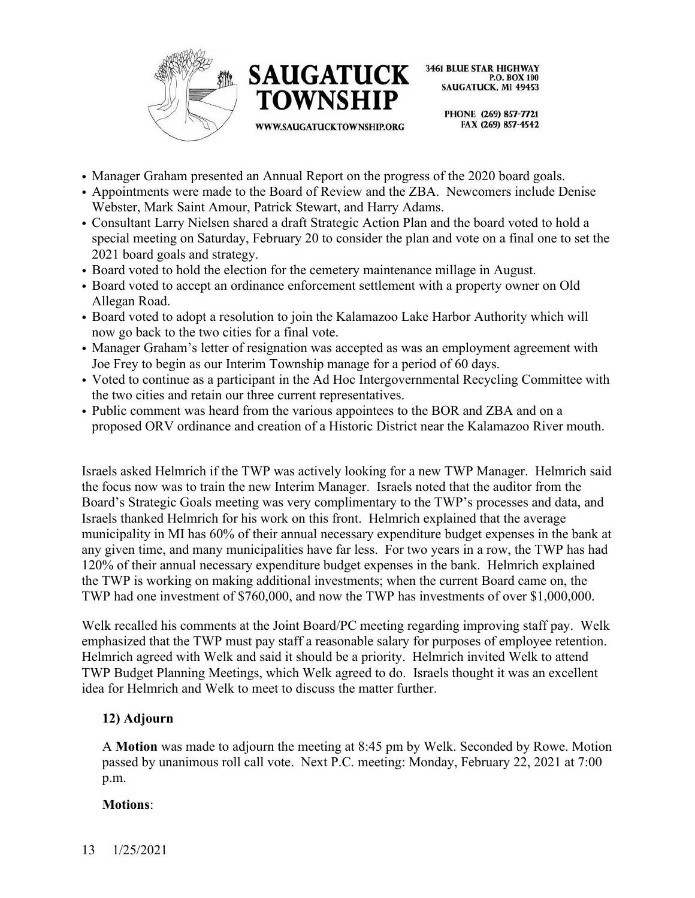



WWW.SAUGATUCKTOWNSHIP.ORG

**3461 BLUE STAR HIGHWAY** P.O. BOX 100 SAUGATUCK, MI 49453

> PHONE (269) 857-7721 FAX (269) 857-4542

- Manager Graham presented an Annual Report on the progress of the 2020 board goals.
- Appointments were made to the Board of Review and the ZBA. Newcomers include Denise Webster, Mark Saint Amour, Patrick Stewart, and Harry Adams.
- Consultant Larry Nielsen shared a draft Strategic Action Plan and the board voted to hold a special meeting on Saturday, February 20 to consider the plan and vote on a final one to set the 2021 board goals and strategy.
- Board voted to hold the election for the cemetery maintenance millage in August.
- Board voted to accept an ordinance enforcement settlement with a property owner on Old Allegan Road.
- Board voted to adopt a resolution to join the Kalamazoo Lake Harbor Authority which will now go back to the two cities for a final vote.
- Manager Graham's letter of resignation was accepted as was an employment agreement with Joe Frey to begin as our Interim Township manage for a period of 60 days.
- Voted to continue as a participant in the Ad Hoc Intergovernmental Recycling Committee with the two cities and retain our three current representatives.
- Public comment was heard from the various appointees to the BOR and ZBA and on a proposed ORV ordinance and creation of a Historic District near the Kalamazoo River mouth.

Israels asked Helmrich if the TWP was actively looking for a new TWP Manager. Helmrich said the focus now was to train the new Interim Manager. Israels noted that the auditor from the Board's Strategic Goals meeting was very complimentary to the TWP's processes and data, and Israels thanked Helmrich for his work on this front. Helmrich explained that the average municipality in MI has 60% of their annual necessary expenditure budget expenses in the bank at any given time, and many municipalities have far less. For two years in a row, the TWP has had 120% of their annual necessary expenditure budget expenses in the bank. Helmrich explained the TWP is working on making additional investments; when the current Board came on, the TWP had one investment of \$760,000, and now the TWP has investments of over \$1,000,000.

Welk recalled his comments at the Joint Board/PC meeting regarding improving staff pay. Welk emphasized that the TWP must pay staff a reasonable salary for purposes of employee retention. Helmrich agreed with Welk and said it should be a priority. Helmrich invited Welk to attend TWP Budget Planning Meetings, which Welk agreed to do. Israels thought it was an excellent idea for Helmrich and Welk to meet to discuss the matter further.

#### **12) Adjourn**

A **Motion** was made to adjourn the meeting at 8:45 pm by Welk. Seconded by Rowe. Motion passed by unanimous roll call vote. Next P.C. meeting: Monday, February 22, 2021 at 7:00 p.m.

#### **Motions**: